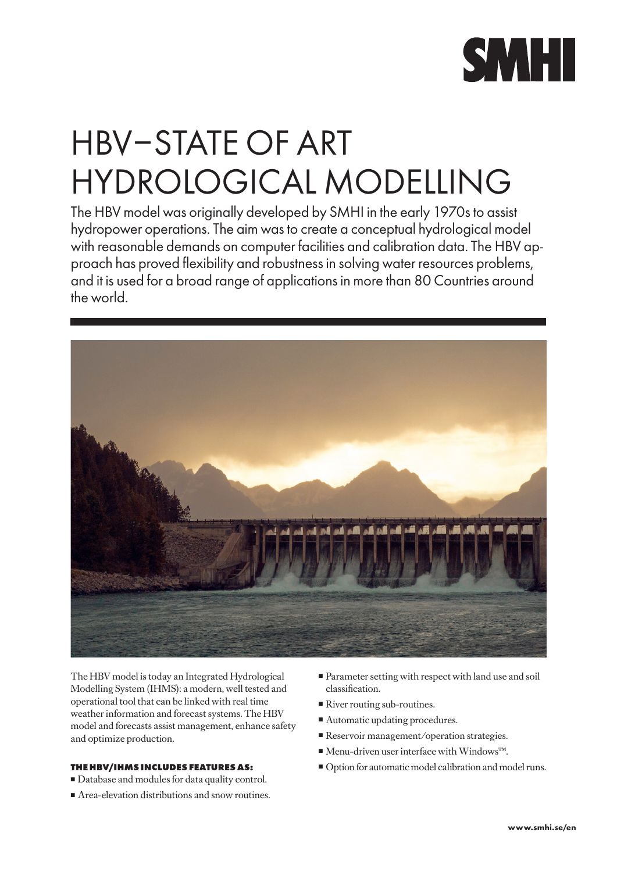

# HBV–STATE OF ART HYDROLOGICAL MODELLING

The HBV model was originally developed by SMHI in the early 1970s to assist hydropower operations. The aim was to create a conceptual hydrological model with reasonable demands on computer facilities and calibration data. The HBV approach has proved flexibility and robustness in solving water resources problems, and it is used for a broad range of applications in more than 80 Countries around the world.



The HBV model is today an Integrated Hydrological Modelling System (IHMS): a modern, well tested and operational tool that can be linked with real time weather information and forecast systems. The HBV model and forecasts assist management, enhance safety and optimize production.

## **THE HBV/IHMS INCLUDES FEATURES AS:**

- Database and modules for data quality control.
- Area-elevation distributions and snow routines.
- $\blacksquare$  Parameter setting with respect with land use and soil classification.
- $\blacksquare$  River routing sub-routines.
- $\blacksquare$  Automatic updating procedures.
- Reservoir management/operation strategies.
- Menu-driven user interface with Windows™.
- <sup>n</sup> Option for automatic model calibration and model runs.